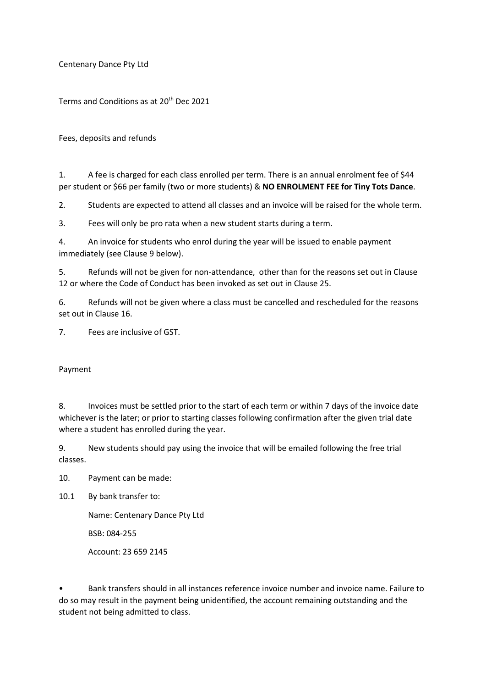Centenary Dance Pty Ltd

Terms and Conditions as at 20<sup>th</sup> Dec 2021

Fees, deposits and refunds

1. A fee is charged for each class enrolled per term. There is an annual enrolment fee of \$44 per student or \$66 per family (two or more students) & NO ENROLMENT FEE for Tiny Tots Dance.

2. Students are expected to attend all classes and an invoice will be raised for the whole term.

3. Fees will only be pro rata when a new student starts during a term.

4. An invoice for students who enrol during the year will be issued to enable payment immediately (see Clause 9 below).

5. Refunds will not be given for non-attendance, other than for the reasons set out in Clause 12 or where the Code of Conduct has been invoked as set out in Clause 25.

6. Refunds will not be given where a class must be cancelled and rescheduled for the reasons set out in Clause 16.

7. Fees are inclusive of GST.

Payment

8. Invoices must be settled prior to the start of each term or within 7 days of the invoice date whichever is the later; or prior to starting classes following confirmation after the given trial date where a student has enrolled during the year.

9. New students should pay using the invoice that will be emailed following the free trial classes.

10. Payment can be made:

10.1 By bank transfer to:

Name: Centenary Dance Pty Ltd

BSB: 084-255

Account: 23 659 2145

• Bank transfers should in all instances reference invoice number and invoice name. Failure to do so may result in the payment being unidentified, the account remaining outstanding and the student not being admitted to class.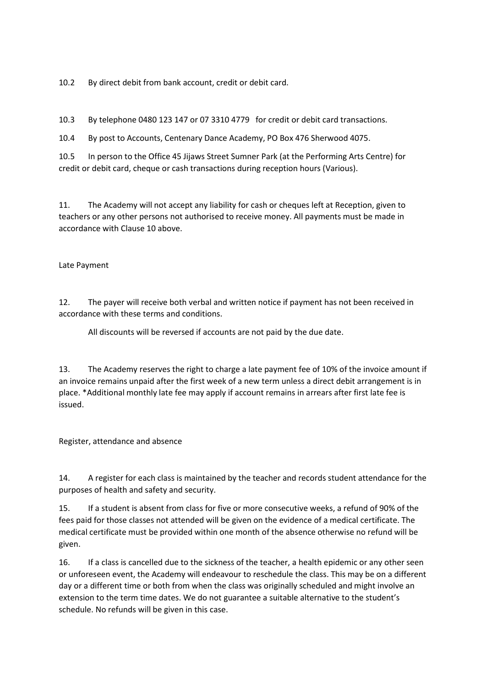10.2 By direct debit from bank account, credit or debit card.

10.3 By telephone 0480 123 147 or 07 3310 4779 for credit or debit card transactions.

10.4 By post to Accounts, Centenary Dance Academy, PO Box 476 Sherwood 4075.

10.5 In person to the Office 45 Jijaws Street Sumner Park (at the Performing Arts Centre) for credit or debit card, cheque or cash transactions during reception hours (Various).

11. The Academy will not accept any liability for cash or cheques left at Reception, given to teachers or any other persons not authorised to receive money. All payments must be made in accordance with Clause 10 above.

Late Payment

12. The payer will receive both verbal and written notice if payment has not been received in accordance with these terms and conditions.

All discounts will be reversed if accounts are not paid by the due date.

13. The Academy reserves the right to charge a late payment fee of 10% of the invoice amount if an invoice remains unpaid after the first week of a new term unless a direct debit arrangement is in place. \*Additional monthly late fee may apply if account remains in arrears after first late fee is issued.

Register, attendance and absence

14. A register for each class is maintained by the teacher and records student attendance for the purposes of health and safety and security.

15. If a student is absent from class for five or more consecutive weeks, a refund of 90% of the fees paid for those classes not attended will be given on the evidence of a medical certificate. The medical certificate must be provided within one month of the absence otherwise no refund will be given.

16. If a class is cancelled due to the sickness of the teacher, a health epidemic or any other seen or unforeseen event, the Academy will endeavour to reschedule the class. This may be on a different day or a different time or both from when the class was originally scheduled and might involve an extension to the term time dates. We do not guarantee a suitable alternative to the student's schedule. No refunds will be given in this case.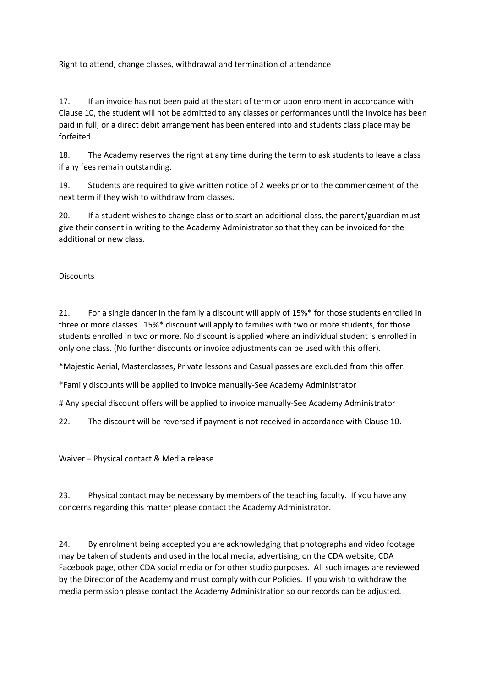Right to attend, change classes, withdrawal and termination of attendance

17. If an invoice has not been paid at the start of term or upon enrolment in accordance with Clause 10, the student will not be admitted to any classes or performances until the invoice has been paid in full, or a direct debit arrangement has been entered into and students class place may be forfeited.

18. The Academy reserves the right at any time during the term to ask students to leave a class if any fees remain outstanding.

19. Students are required to give written notice of 2 weeks prior to the commencement of the next term if they wish to withdraw from classes.

20. If a student wishes to change class or to start an additional class, the parent/guardian must give their consent in writing to the Academy Administrator so that they can be invoiced for the additional or new class.

**Discounts** 

21. For a single dancer in the family a discount will apply of 15%\* for those students enrolled in three or more classes. 15%\* discount will apply to families with two or more students, for those students enrolled in two or more. No discount is applied where an individual student is enrolled in only one class. (No further discounts or invoice adjustments can be used with this offer).

\*Majestic Aerial, Masterclasses, Private lessons and Casual passes are excluded from this offer.

\*Family discounts will be applied to invoice manually-See Academy Administrator

# Any special discount offers will be applied to invoice manually-See Academy Administrator

22. The discount will be reversed if payment is not received in accordance with Clause 10.

Waiver – Physical contact & Media release

23. Physical contact may be necessary by members of the teaching faculty. If you have any concerns regarding this matter please contact the Academy Administrator.

24. By enrolment being accepted you are acknowledging that photographs and video footage may be taken of students and used in the local media, advertising, on the CDA website, CDA Facebook page, other CDA social media or for other studio purposes. All such images are reviewed by the Director of the Academy and must comply with our Policies. If you wish to withdraw the media permission please contact the Academy Administration so our records can be adjusted.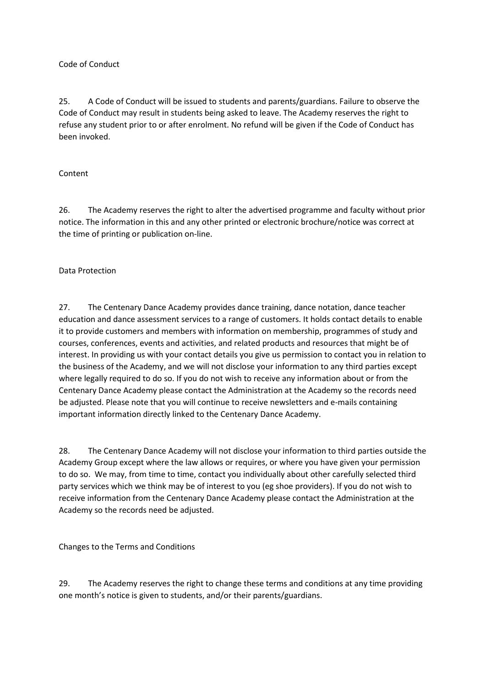## Code of Conduct

25. A Code of Conduct will be issued to students and parents/guardians. Failure to observe the Code of Conduct may result in students being asked to leave. The Academy reserves the right to refuse any student prior to or after enrolment. No refund will be given if the Code of Conduct has been invoked.

## Content

26. The Academy reserves the right to alter the advertised programme and faculty without prior notice. The information in this and any other printed or electronic brochure/notice was correct at the time of printing or publication on-line.

## Data Protection

27. The Centenary Dance Academy provides dance training, dance notation, dance teacher education and dance assessment services to a range of customers. It holds contact details to enable it to provide customers and members with information on membership, programmes of study and courses, conferences, events and activities, and related products and resources that might be of interest. In providing us with your contact details you give us permission to contact you in relation to the business of the Academy, and we will not disclose your information to any third parties except where legally required to do so. If you do not wish to receive any information about or from the Centenary Dance Academy please contact the Administration at the Academy so the records need be adjusted. Please note that you will continue to receive newsletters and e-mails containing important information directly linked to the Centenary Dance Academy.

28. The Centenary Dance Academy will not disclose your information to third parties outside the Academy Group except where the law allows or requires, or where you have given your permission to do so. We may, from time to time, contact you individually about other carefully selected third party services which we think may be of interest to you (eg shoe providers). If you do not wish to receive information from the Centenary Dance Academy please contact the Administration at the Academy so the records need be adjusted.

Changes to the Terms and Conditions

29. The Academy reserves the right to change these terms and conditions at any time providing one month's notice is given to students, and/or their parents/guardians.